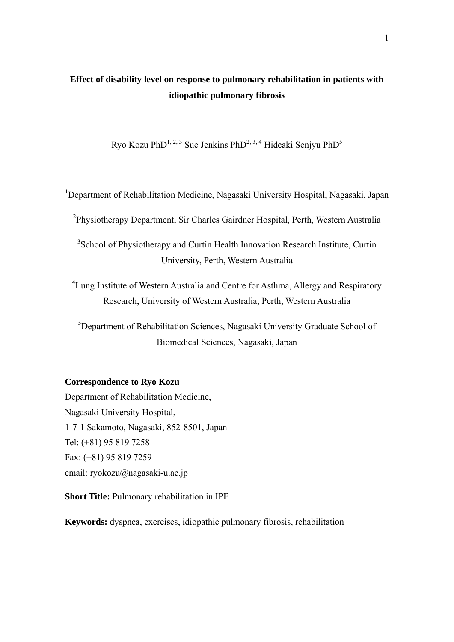# **Effect of disability level on response to pulmonary rehabilitation in patients with idiopathic pulmonary fibrosis**

Ryo Kozu Ph $D^{1, 2, 3}$  Sue Jenkins Ph $D^{2, 3, 4}$  Hideaki Senjyu Ph $D^{5}$ 

<sup>1</sup>Department of Rehabilitation Medicine, Nagasaki University Hospital, Nagasaki, Japan

<sup>2</sup>Physiotherapy Department, Sir Charles Gairdner Hospital, Perth, Western Australia

<sup>3</sup> School of Physiotherapy and Curtin Health Innovation Research Institute, Curtin University, Perth, Western Australia

<sup>4</sup> Lung Institute of Western Australia and Centre for Asthma, Allergy and Respiratory Research, University of Western Australia, Perth, Western Australia

<sup>5</sup>Department of Rehabilitation Sciences, Nagasaki University Graduate School of Biomedical Sciences, Nagasaki, Japan

## **Correspondence to Ryo Kozu**

Department of Rehabilitation Medicine, Nagasaki University Hospital, 1-7-1 Sakamoto, Nagasaki, 852-8501, Japan Tel: (+81) 95 819 7258 Fax: (+81) 95 819 7259 email: ryokozu@nagasaki-u.ac.jp

**Short Title:** Pulmonary rehabilitation in IPF

**Keywords:** dyspnea, exercises, idiopathic pulmonary fibrosis, rehabilitation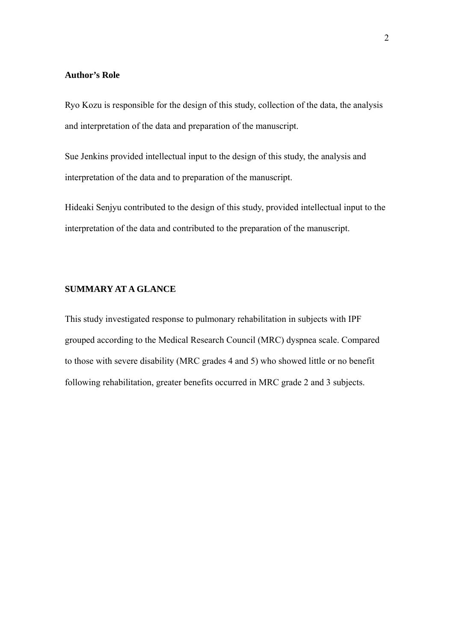## **Author's Role**

Ryo Kozu is responsible for the design of this study, collection of the data, the analysis and interpretation of the data and preparation of the manuscript.

Sue Jenkins provided intellectual input to the design of this study, the analysis and interpretation of the data and to preparation of the manuscript.

Hideaki Senjyu contributed to the design of this study, provided intellectual input to the interpretation of the data and contributed to the preparation of the manuscript.

## **SUMMARY AT A GLANCE**

This study investigated response to pulmonary rehabilitation in subjects with IPF grouped according to the Medical Research Council (MRC) dyspnea scale. Compared to those with severe disability (MRC grades 4 and 5) who showed little or no benefit following rehabilitation, greater benefits occurred in MRC grade 2 and 3 subjects.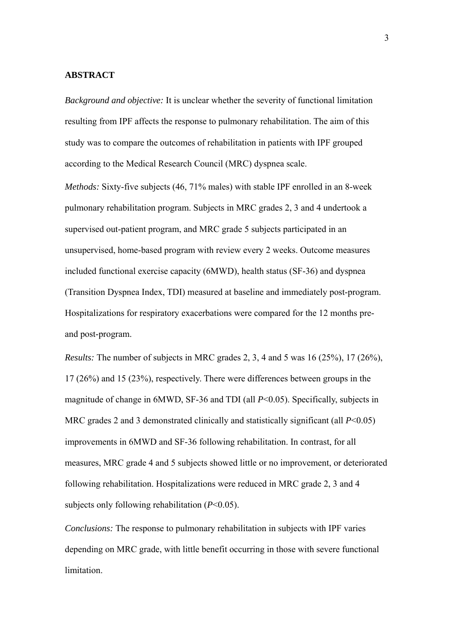#### **ABSTRACT**

*Background and objective:* It is unclear whether the severity of functional limitation resulting from IPF affects the response to pulmonary rehabilitation. The aim of this study was to compare the outcomes of rehabilitation in patients with IPF grouped according to the Medical Research Council (MRC) dyspnea scale.

*Methods:* Sixty-five subjects (46, 71% males) with stable IPF enrolled in an 8-week pulmonary rehabilitation program. Subjects in MRC grades 2, 3 and 4 undertook a supervised out-patient program, and MRC grade 5 subjects participated in an unsupervised, home-based program with review every 2 weeks. Outcome measures included functional exercise capacity (6MWD), health status (SF-36) and dyspnea (Transition Dyspnea Index, TDI) measured at baseline and immediately post-program. Hospitalizations for respiratory exacerbations were compared for the 12 months preand post-program.

*Results:* The number of subjects in MRC grades 2, 3, 4 and 5 was 16 (25%), 17 (26%), 17 (26%) and 15 (23%), respectively. There were differences between groups in the magnitude of change in 6MWD, SF-36 and TDI (all *P*<0.05). Specifically, subjects in MRC grades 2 and 3 demonstrated clinically and statistically significant (all *P*<0.05) improvements in 6MWD and SF-36 following rehabilitation. In contrast, for all measures, MRC grade 4 and 5 subjects showed little or no improvement, or deteriorated following rehabilitation. Hospitalizations were reduced in MRC grade 2, 3 and 4 subjects only following rehabilitation (*P*<0.05).

*Conclusions:* The response to pulmonary rehabilitation in subjects with IPF varies depending on MRC grade, with little benefit occurring in those with severe functional limitation.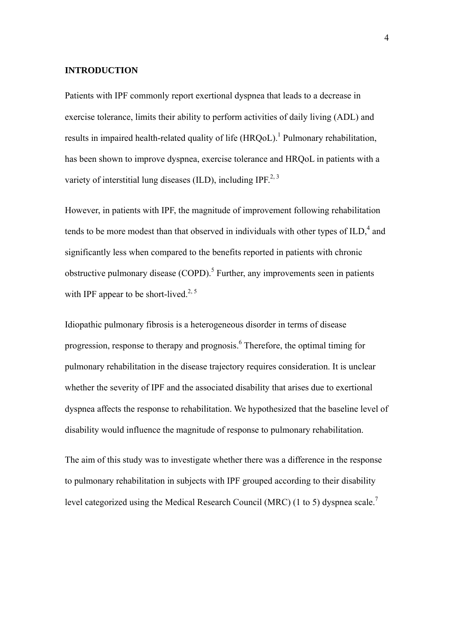#### **INTRODUCTION**

Patients with IPF commonly report exertional dyspnea that leads to a decrease in exercise tolerance, limits their ability to perform activities of daily living (ADL) and results in impaired health-related quality of life  $(HRQoL)$ .<sup>1</sup> Pulmonary rehabilitation, has been shown to improve dyspnea, exercise tolerance and HRQoL in patients with a variety of interstitial lung diseases (ILD), including IPF<sup>2, 3</sup>

However, in patients with IPF, the magnitude of improvement following rehabilitation tends to be more modest than that observed in individuals with other types of  $ILD<sub>i</sub><sup>4</sup>$  and significantly less when compared to the benefits reported in patients with chronic obstructive pulmonary disease  $(COPD)$ .<sup>5</sup> Further, any improvements seen in patients with IPF appear to be short-lived.<sup>2, 5</sup>

Idiopathic pulmonary fibrosis is a heterogeneous disorder in terms of disease progression, response to therapy and prognosis.<sup>6</sup> Therefore, the optimal timing for pulmonary rehabilitation in the disease trajectory requires consideration. It is unclear whether the severity of IPF and the associated disability that arises due to exertional dyspnea affects the response to rehabilitation. We hypothesized that the baseline level of disability would influence the magnitude of response to pulmonary rehabilitation.

The aim of this study was to investigate whether there was a difference in the response to pulmonary rehabilitation in subjects with IPF grouped according to their disability level categorized using the Medical Research Council (MRC) (1 to 5) dyspnea scale.7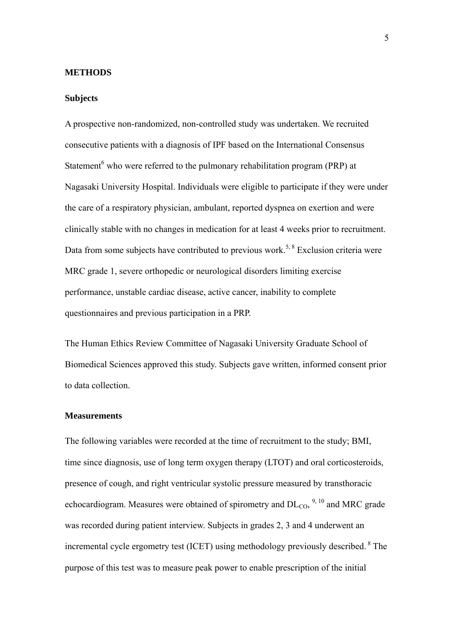## **METHODS**

#### **Subjects**

A prospective non-randomized, non-controlled study was undertaken. We recruited consecutive patients with a diagnosis of IPF based on the International Consensus Statement<sup>6</sup> who were referred to the pulmonary rehabilitation program (PRP) at Nagasaki University Hospital. Individuals were eligible to participate if they were under the care of a respiratory physician, ambulant, reported dyspnea on exertion and were clinically stable with no changes in medication for at least 4 weeks prior to recruitment. Data from some subjects have contributed to previous work.<sup>5, 8</sup> Exclusion criteria were MRC grade 1, severe orthopedic or neurological disorders limiting exercise performance, unstable cardiac disease, active cancer, inability to complete questionnaires and previous participation in a PRP.

The Human Ethics Review Committee of Nagasaki University Graduate School of Biomedical Sciences approved this study. Subjects gave written, informed consent prior to data collection.

## **Measurements**

The following variables were recorded at the time of recruitment to the study; BMI, time since diagnosis, use of long term oxygen therapy (LTOT) and oral corticosteroids, presence of cough, and right ventricular systolic pressure measured by transthoracic echocardiogram. Measures were obtained of spirometry and  $DL_{CO}$ ,  $^{9, 10}$  and MRC grade was recorded during patient interview. Subjects in grades 2, 3 and 4 underwent an incremental cycle ergometry test (ICET) using methodology previously described. 8 The purpose of this test was to measure peak power to enable prescription of the initial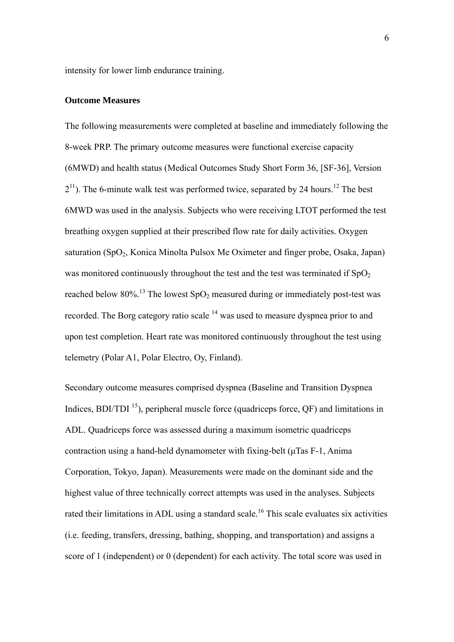intensity for lower limb endurance training.

## **Outcome Measures**

The following measurements were completed at baseline and immediately following the 8-week PRP. The primary outcome measures were functional exercise capacity (6MWD) and health status (Medical Outcomes Study Short Form 36, [SF-36], Version  $2<sup>11</sup>$ ). The 6-minute walk test was performed twice, separated by 24 hours.<sup>12</sup> The best 6MWD was used in the analysis. Subjects who were receiving LTOT performed the test breathing oxygen supplied at their prescribed flow rate for daily activities. Oxygen saturation (SpO<sub>2</sub>, Konica Minolta Pulsox Me Oximeter and finger probe, Osaka, Japan) was monitored continuously throughout the test and the test was terminated if  $SpO<sub>2</sub>$ reached below 80%.<sup>13</sup> The lowest  $SpO<sub>2</sub>$  measured during or immediately post-test was recorded. The Borg category ratio scale <sup>14</sup> was used to measure dyspnea prior to and upon test completion. Heart rate was monitored continuously throughout the test using telemetry (Polar A1, Polar Electro, Oy, Finland).

Secondary outcome measures comprised dyspnea (Baseline and Transition Dyspnea Indices,  $BDI/TDI$ <sup>15</sup>), peripheral muscle force (quadriceps force,  $OF$ ) and limitations in ADL. Quadriceps force was assessed during a maximum isometric quadriceps contraction using a hand-held dynamometer with fixing-belt (μTas F-1, Anima Corporation, Tokyo, Japan). Measurements were made on the dominant side and the highest value of three technically correct attempts was used in the analyses. Subjects rated their limitations in ADL using a standard scale.<sup>16</sup> This scale evaluates six activities (i.e. feeding, transfers, dressing, bathing, shopping, and transportation) and assigns a score of 1 (independent) or 0 (dependent) for each activity. The total score was used in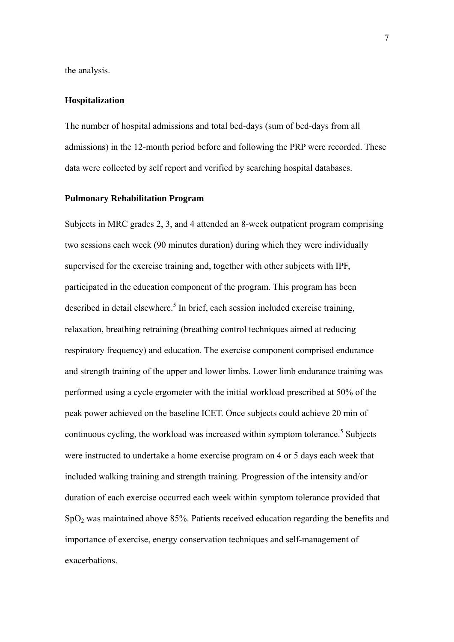the analysis.

## **Hospitalization**

The number of hospital admissions and total bed-days (sum of bed-days from all admissions) in the 12-month period before and following the PRP were recorded. These data were collected by self report and verified by searching hospital databases.

## **Pulmonary Rehabilitation Program**

Subjects in MRC grades 2, 3, and 4 attended an 8-week outpatient program comprising two sessions each week (90 minutes duration) during which they were individually supervised for the exercise training and, together with other subjects with IPF, participated in the education component of the program. This program has been described in detail elsewhere.<sup>5</sup> In brief, each session included exercise training, relaxation, breathing retraining (breathing control techniques aimed at reducing respiratory frequency) and education. The exercise component comprised endurance and strength training of the upper and lower limbs. Lower limb endurance training was performed using a cycle ergometer with the initial workload prescribed at 50% of the peak power achieved on the baseline ICET. Once subjects could achieve 20 min of continuous cycling, the workload was increased within symptom tolerance.<sup>5</sup> Subjects were instructed to undertake a home exercise program on 4 or 5 days each week that included walking training and strength training. Progression of the intensity and/or duration of each exercise occurred each week within symptom tolerance provided that  $SpO<sub>2</sub>$  was maintained above 85%. Patients received education regarding the benefits and importance of exercise, energy conservation techniques and self-management of exacerbations.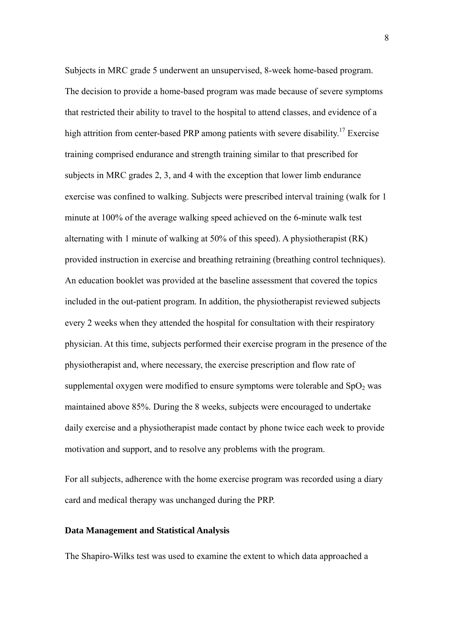Subjects in MRC grade 5 underwent an unsupervised, 8-week home-based program. The decision to provide a home-based program was made because of severe symptoms that restricted their ability to travel to the hospital to attend classes, and evidence of a high attrition from center-based PRP among patients with severe disability.<sup>17</sup> Exercise training comprised endurance and strength training similar to that prescribed for subjects in MRC grades 2, 3, and 4 with the exception that lower limb endurance exercise was confined to walking. Subjects were prescribed interval training (walk for 1 minute at 100% of the average walking speed achieved on the 6-minute walk test alternating with 1 minute of walking at 50% of this speed). A physiotherapist (RK) provided instruction in exercise and breathing retraining (breathing control techniques). An education booklet was provided at the baseline assessment that covered the topics included in the out-patient program. In addition, the physiotherapist reviewed subjects every 2 weeks when they attended the hospital for consultation with their respiratory physician. At this time, subjects performed their exercise program in the presence of the physiotherapist and, where necessary, the exercise prescription and flow rate of supplemental oxygen were modified to ensure symptoms were tolerable and  $SpO<sub>2</sub>$  was maintained above 85%. During the 8 weeks, subjects were encouraged to undertake daily exercise and a physiotherapist made contact by phone twice each week to provide motivation and support, and to resolve any problems with the program.

For all subjects, adherence with the home exercise program was recorded using a diary card and medical therapy was unchanged during the PRP.

## **Data Management and Statistical Analysis**

The Shapiro-Wilks test was used to examine the extent to which data approached a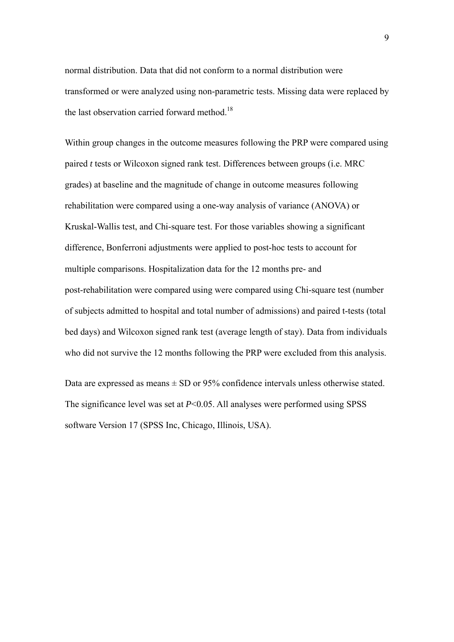normal distribution. Data that did not conform to a normal distribution were transformed or were analyzed using non-parametric tests. Missing data were replaced by the last observation carried forward method.<sup>18</sup>

Within group changes in the outcome measures following the PRP were compared using paired *t* tests or Wilcoxon signed rank test. Differences between groups (i.e. MRC grades) at baseline and the magnitude of change in outcome measures following rehabilitation were compared using a one-way analysis of variance (ANOVA) or Kruskal-Wallis test, and Chi-square test. For those variables showing a significant difference, Bonferroni adjustments were applied to post-hoc tests to account for multiple comparisons. Hospitalization data for the 12 months pre- and post-rehabilitation were compared using were compared using Chi-square test (number of subjects admitted to hospital and total number of admissions) and paired t-tests (total bed days) and Wilcoxon signed rank test (average length of stay). Data from individuals who did not survive the 12 months following the PRP were excluded from this analysis.

Data are expressed as means  $\pm$  SD or 95% confidence intervals unless otherwise stated. The significance level was set at *P*<0.05. All analyses were performed using SPSS software Version 17 (SPSS Inc, Chicago, Illinois, USA).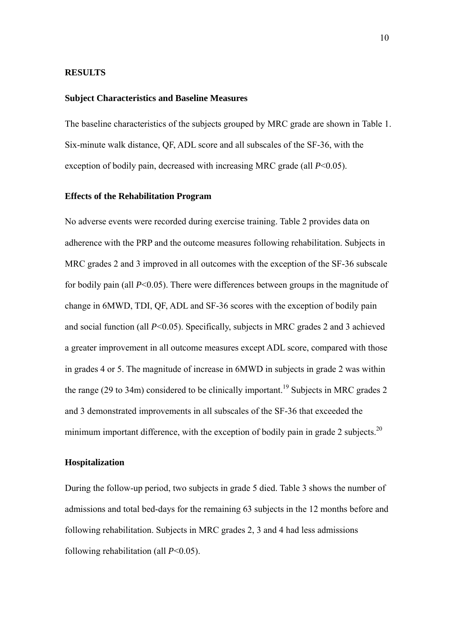#### **RESULTS**

## **Subject Characteristics and Baseline Measures**

The baseline characteristics of the subjects grouped by MRC grade are shown in Table 1. Six-minute walk distance, QF, ADL score and all subscales of the SF-36, with the exception of bodily pain, decreased with increasing MRC grade (all *P*<0.05).

## **Effects of the Rehabilitation Program**

No adverse events were recorded during exercise training. Table 2 provides data on adherence with the PRP and the outcome measures following rehabilitation. Subjects in MRC grades 2 and 3 improved in all outcomes with the exception of the SF-36 subscale for bodily pain (all *P*<0.05). There were differences between groups in the magnitude of change in 6MWD, TDI, QF, ADL and SF-36 scores with the exception of bodily pain and social function (all *P*<0.05). Specifically, subjects in MRC grades 2 and 3 achieved a greater improvement in all outcome measures except ADL score, compared with those in grades 4 or 5. The magnitude of increase in 6MWD in subjects in grade 2 was within the range (29 to 34m) considered to be clinically important.<sup>19</sup> Subjects in MRC grades 2 and 3 demonstrated improvements in all subscales of the SF-36 that exceeded the minimum important difference, with the exception of bodily pain in grade 2 subjects.<sup>20</sup>

#### **Hospitalization**

During the follow-up period, two subjects in grade 5 died. Table 3 shows the number of admissions and total bed-days for the remaining 63 subjects in the 12 months before and following rehabilitation. Subjects in MRC grades 2, 3 and 4 had less admissions following rehabilitation (all *P*<0.05).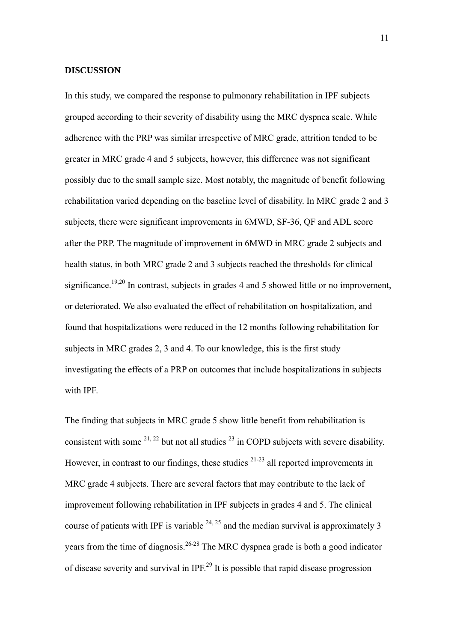## **DISCUSSION**

In this study, we compared the response to pulmonary rehabilitation in IPF subjects grouped according to their severity of disability using the MRC dyspnea scale. While adherence with the PRP was similar irrespective of MRC grade, attrition tended to be greater in MRC grade 4 and 5 subjects, however, this difference was not significant possibly due to the small sample size. Most notably, the magnitude of benefit following rehabilitation varied depending on the baseline level of disability. In MRC grade 2 and 3 subjects, there were significant improvements in 6MWD, SF-36, QF and ADL score after the PRP. The magnitude of improvement in 6MWD in MRC grade 2 subjects and health status, in both MRC grade 2 and 3 subjects reached the thresholds for clinical significance.<sup>19,20</sup> In contrast, subjects in grades 4 and 5 showed little or no improvement, or deteriorated. We also evaluated the effect of rehabilitation on hospitalization, and found that hospitalizations were reduced in the 12 months following rehabilitation for subjects in MRC grades 2, 3 and 4. To our knowledge, this is the first study investigating the effects of a PRP on outcomes that include hospitalizations in subjects with IPF.

The finding that subjects in MRC grade 5 show little benefit from rehabilitation is consistent with some  $2^{1,22}$  but not all studies  $2^{3}$  in COPD subjects with severe disability. However, in contrast to our findings, these studies  $2^{1-23}$  all reported improvements in MRC grade 4 subjects. There are several factors that may contribute to the lack of improvement following rehabilitation in IPF subjects in grades 4 and 5. The clinical course of patients with IPF is variable  $24, 25$  and the median survival is approximately 3 years from the time of diagnosis.<sup>26-28</sup> The MRC dyspnea grade is both a good indicator of disease severity and survival in IPF.29 It is possible that rapid disease progression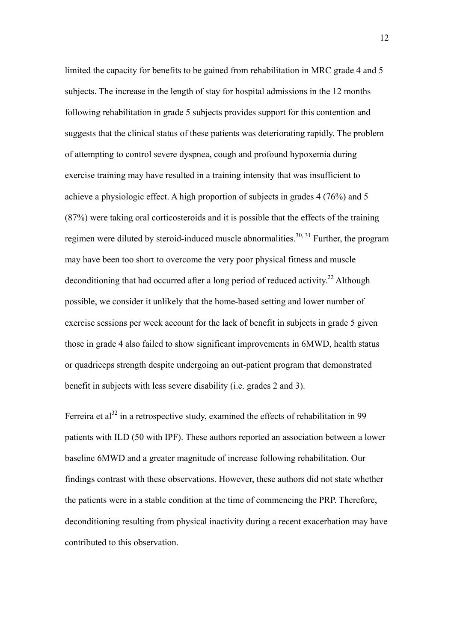limited the capacity for benefits to be gained from rehabilitation in MRC grade 4 and 5 subjects. The increase in the length of stay for hospital admissions in the 12 months following rehabilitation in grade 5 subjects provides support for this contention and suggests that the clinical status of these patients was deteriorating rapidly. The problem of attempting to control severe dyspnea, cough and profound hypoxemia during exercise training may have resulted in a training intensity that was insufficient to achieve a physiologic effect. A high proportion of subjects in grades 4 (76%) and 5 (87%) were taking oral corticosteroids and it is possible that the effects of the training regimen were diluted by steroid-induced muscle abnormalities.<sup>30, 31</sup> Further, the program may have been too short to overcome the very poor physical fitness and muscle deconditioning that had occurred after a long period of reduced activity.<sup>22</sup> Although possible, we consider it unlikely that the home-based setting and lower number of exercise sessions per week account for the lack of benefit in subjects in grade 5 given those in grade 4 also failed to show significant improvements in 6MWD, health status or quadriceps strength despite undergoing an out-patient program that demonstrated benefit in subjects with less severe disability (i.e. grades 2 and 3).

Ferreira et al<sup>32</sup> in a retrospective study, examined the effects of rehabilitation in 99 patients with ILD (50 with IPF). These authors reported an association between a lower baseline 6MWD and a greater magnitude of increase following rehabilitation. Our findings contrast with these observations. However, these authors did not state whether the patients were in a stable condition at the time of commencing the PRP. Therefore, deconditioning resulting from physical inactivity during a recent exacerbation may have contributed to this observation.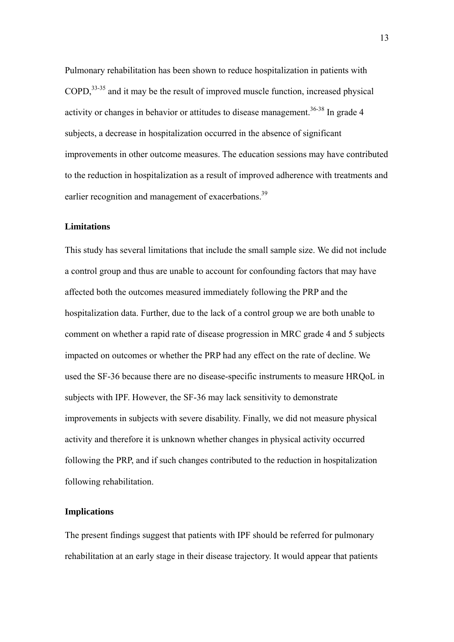Pulmonary rehabilitation has been shown to reduce hospitalization in patients with COPD,33-35 and it may be the result of improved muscle function, increased physical activity or changes in behavior or attitudes to disease management.<sup>36-38</sup> In grade 4 subjects, a decrease in hospitalization occurred in the absence of significant improvements in other outcome measures. The education sessions may have contributed to the reduction in hospitalization as a result of improved adherence with treatments and earlier recognition and management of exacerbations.<sup>39</sup>

## **Limitations**

This study has several limitations that include the small sample size. We did not include a control group and thus are unable to account for confounding factors that may have affected both the outcomes measured immediately following the PRP and the hospitalization data. Further, due to the lack of a control group we are both unable to comment on whether a rapid rate of disease progression in MRC grade 4 and 5 subjects impacted on outcomes or whether the PRP had any effect on the rate of decline. We used the SF-36 because there are no disease-specific instruments to measure HRQoL in subjects with IPF. However, the SF-36 may lack sensitivity to demonstrate improvements in subjects with severe disability. Finally, we did not measure physical activity and therefore it is unknown whether changes in physical activity occurred following the PRP, and if such changes contributed to the reduction in hospitalization following rehabilitation.

## **Implications**

The present findings suggest that patients with IPF should be referred for pulmonary rehabilitation at an early stage in their disease trajectory. It would appear that patients

13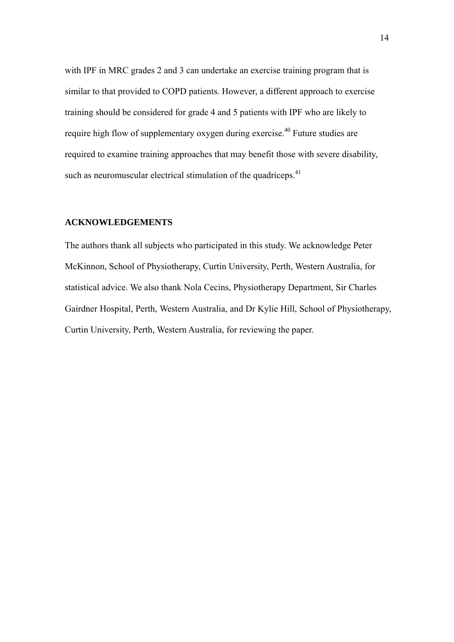with IPF in MRC grades 2 and 3 can undertake an exercise training program that is similar to that provided to COPD patients. However, a different approach to exercise training should be considered for grade 4 and 5 patients with IPF who are likely to require high flow of supplementary oxygen during exercise.<sup>40</sup> Future studies are required to examine training approaches that may benefit those with severe disability, such as neuromuscular electrical stimulation of the quadriceps.<sup>41</sup>

## **ACKNOWLEDGEMENTS**

The authors thank all subjects who participated in this study. We acknowledge Peter McKinnon, School of Physiotherapy, Curtin University, Perth, Western Australia, for statistical advice. We also thank Nola Cecins, Physiotherapy Department, Sir Charles Gairdner Hospital, Perth, Western Australia, and Dr Kylie Hill, School of Physiotherapy, Curtin University, Perth, Western Australia, for reviewing the paper.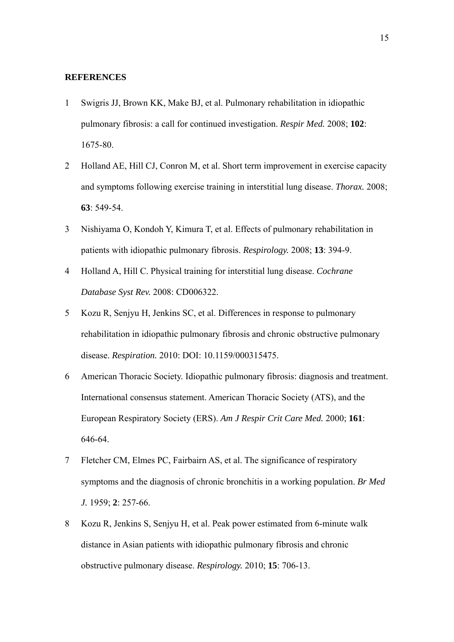#### **REFERENCES**

- 1 Swigris JJ, Brown KK, Make BJ, et al. Pulmonary rehabilitation in idiopathic pulmonary fibrosis: a call for continued investigation. *Respir Med.* 2008; **102**: 1675-80.
- 2 Holland AE, Hill CJ, Conron M, et al. Short term improvement in exercise capacity and symptoms following exercise training in interstitial lung disease. *Thorax.* 2008; **63**: 549-54.
- 3 Nishiyama O, Kondoh Y, Kimura T, et al. Effects of pulmonary rehabilitation in patients with idiopathic pulmonary fibrosis. *Respirology.* 2008; **13**: 394-9.
- 4 Holland A, Hill C. Physical training for interstitial lung disease. *Cochrane Database Syst Rev.* 2008: CD006322.
- 5 Kozu R, Senjyu H, Jenkins SC, et al. Differences in response to pulmonary rehabilitation in idiopathic pulmonary fibrosis and chronic obstructive pulmonary disease. *Respiration.* 2010: DOI: 10.1159/000315475.
- 6 American Thoracic Society. Idiopathic pulmonary fibrosis: diagnosis and treatment. International consensus statement. American Thoracic Society (ATS), and the European Respiratory Society (ERS). *Am J Respir Crit Care Med.* 2000; **161**: 646-64.
- 7 Fletcher CM, Elmes PC, Fairbairn AS, et al. The significance of respiratory symptoms and the diagnosis of chronic bronchitis in a working population. *Br Med J.* 1959; **2**: 257-66.
- 8 Kozu R, Jenkins S, Senjyu H, et al. Peak power estimated from 6-minute walk distance in Asian patients with idiopathic pulmonary fibrosis and chronic obstructive pulmonary disease. *Respirology.* 2010; **15**: 706-13.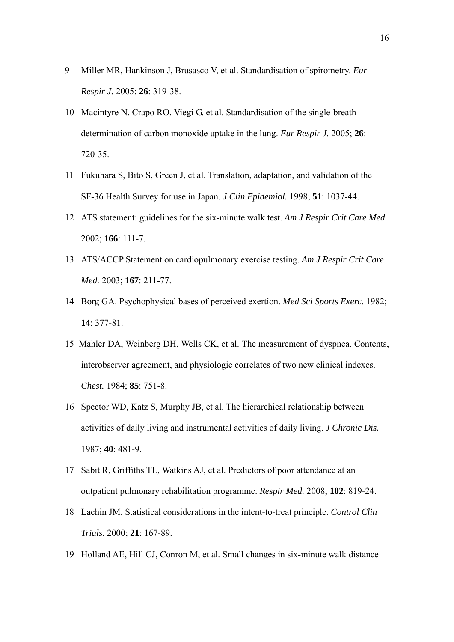- 9 Miller MR, Hankinson J, Brusasco V, et al. Standardisation of spirometry. *Eur Respir J.* 2005; **26**: 319-38.
- 10 Macintyre N, Crapo RO, Viegi G, et al. Standardisation of the single-breath determination of carbon monoxide uptake in the lung. *Eur Respir J.* 2005; **26**: 720-35.
- 11 Fukuhara S, Bito S, Green J, et al. Translation, adaptation, and validation of the SF-36 Health Survey for use in Japan. *J Clin Epidemiol.* 1998; **51**: 1037-44.
- 12 ATS statement: guidelines for the six-minute walk test. *Am J Respir Crit Care Med.* 2002; **166**: 111-7.
- 13 ATS/ACCP Statement on cardiopulmonary exercise testing. *Am J Respir Crit Care Med.* 2003; **167**: 211-77.
- 14 Borg GA. Psychophysical bases of perceived exertion. *Med Sci Sports Exerc.* 1982; **14**: 377-81.
- 15 Mahler DA, Weinberg DH, Wells CK, et al. The measurement of dyspnea. Contents, interobserver agreement, and physiologic correlates of two new clinical indexes. *Chest.* 1984; **85**: 751-8.
- 16 Spector WD, Katz S, Murphy JB, et al. The hierarchical relationship between activities of daily living and instrumental activities of daily living. *J Chronic Dis.* 1987; **40**: 481-9.
- 17 Sabit R, Griffiths TL, Watkins AJ, et al. Predictors of poor attendance at an outpatient pulmonary rehabilitation programme. *Respir Med.* 2008; **102**: 819-24.
- 18 Lachin JM. Statistical considerations in the intent-to-treat principle. *Control Clin Trials.* 2000; **21**: 167-89.
- 19 Holland AE, Hill CJ, Conron M, et al. Small changes in six-minute walk distance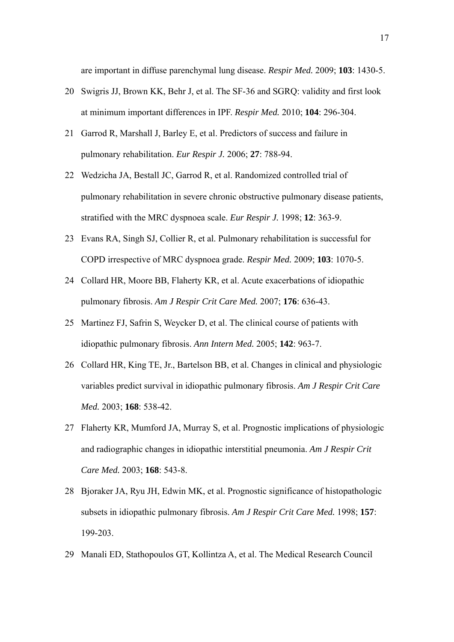are important in diffuse parenchymal lung disease. *Respir Med.* 2009; **103**: 1430-5.

- 20 Swigris JJ, Brown KK, Behr J, et al. The SF-36 and SGRQ: validity and first look at minimum important differences in IPF. *Respir Med.* 2010; **104**: 296-304.
- 21 Garrod R, Marshall J, Barley E, et al. Predictors of success and failure in pulmonary rehabilitation. *Eur Respir J.* 2006; **27**: 788-94.
- 22 Wedzicha JA, Bestall JC, Garrod R, et al. Randomized controlled trial of pulmonary rehabilitation in severe chronic obstructive pulmonary disease patients, stratified with the MRC dyspnoea scale. *Eur Respir J.* 1998; **12**: 363-9.
- 23 Evans RA, Singh SJ, Collier R, et al. Pulmonary rehabilitation is successful for COPD irrespective of MRC dyspnoea grade. *Respir Med.* 2009; **103**: 1070-5.
- 24 Collard HR, Moore BB, Flaherty KR, et al. Acute exacerbations of idiopathic pulmonary fibrosis. *Am J Respir Crit Care Med.* 2007; **176**: 636-43.
- 25 Martinez FJ, Safrin S, Weycker D, et al. The clinical course of patients with idiopathic pulmonary fibrosis. *Ann Intern Med.* 2005; **142**: 963-7.
- 26 Collard HR, King TE, Jr., Bartelson BB, et al. Changes in clinical and physiologic variables predict survival in idiopathic pulmonary fibrosis. *Am J Respir Crit Care Med.* 2003; **168**: 538-42.
- 27 Flaherty KR, Mumford JA, Murray S, et al. Prognostic implications of physiologic and radiographic changes in idiopathic interstitial pneumonia. *Am J Respir Crit Care Med.* 2003; **168**: 543-8.
- 28 Bjoraker JA, Ryu JH, Edwin MK, et al. Prognostic significance of histopathologic subsets in idiopathic pulmonary fibrosis. *Am J Respir Crit Care Med.* 1998; **157**: 199-203.
- 29 Manali ED, Stathopoulos GT, Kollintza A, et al. The Medical Research Council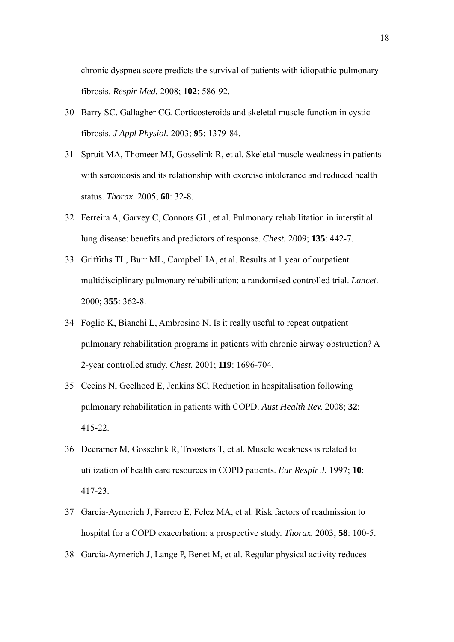chronic dyspnea score predicts the survival of patients with idiopathic pulmonary fibrosis. *Respir Med.* 2008; **102**: 586-92.

- 30 Barry SC, Gallagher CG. Corticosteroids and skeletal muscle function in cystic fibrosis. *J Appl Physiol.* 2003; **95**: 1379-84.
- 31 Spruit MA, Thomeer MJ, Gosselink R, et al. Skeletal muscle weakness in patients with sarcoidosis and its relationship with exercise intolerance and reduced health status. *Thorax.* 2005; **60**: 32-8.
- 32 Ferreira A, Garvey C, Connors GL, et al. Pulmonary rehabilitation in interstitial lung disease: benefits and predictors of response. *Chest.* 2009; **135**: 442-7.
- 33 Griffiths TL, Burr ML, Campbell IA, et al. Results at 1 year of outpatient multidisciplinary pulmonary rehabilitation: a randomised controlled trial. *Lancet.* 2000; **355**: 362-8.
- 34 Foglio K, Bianchi L, Ambrosino N. Is it really useful to repeat outpatient pulmonary rehabilitation programs in patients with chronic airway obstruction? A 2-year controlled study. *Chest.* 2001; **119**: 1696-704.
- 35 Cecins N, Geelhoed E, Jenkins SC. Reduction in hospitalisation following pulmonary rehabilitation in patients with COPD. *Aust Health Rev.* 2008; **32**: 415-22.
- 36 Decramer M, Gosselink R, Troosters T, et al. Muscle weakness is related to utilization of health care resources in COPD patients. *Eur Respir J.* 1997; **10**: 417-23.
- 37 Garcia-Aymerich J, Farrero E, Felez MA, et al. Risk factors of readmission to hospital for a COPD exacerbation: a prospective study. *Thorax.* 2003; **58**: 100-5.
- 38 Garcia-Aymerich J, Lange P, Benet M, et al. Regular physical activity reduces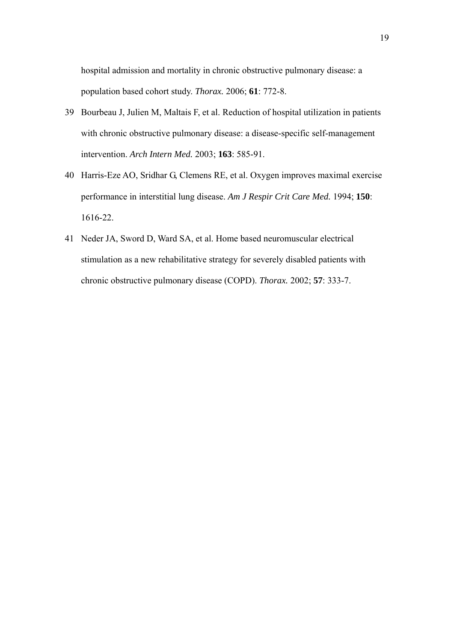hospital admission and mortality in chronic obstructive pulmonary disease: a population based cohort study. *Thorax.* 2006; **61**: 772-8.

- 39 Bourbeau J, Julien M, Maltais F, et al. Reduction of hospital utilization in patients with chronic obstructive pulmonary disease: a disease-specific self-management intervention. *Arch Intern Med.* 2003; **163**: 585-91.
- 40 Harris-Eze AO, Sridhar G, Clemens RE, et al. Oxygen improves maximal exercise performance in interstitial lung disease. *Am J Respir Crit Care Med.* 1994; **150**: 1616-22.
- 41 Neder JA, Sword D, Ward SA, et al. Home based neuromuscular electrical stimulation as a new rehabilitative strategy for severely disabled patients with chronic obstructive pulmonary disease (COPD). *Thorax.* 2002; **57**: 333-7.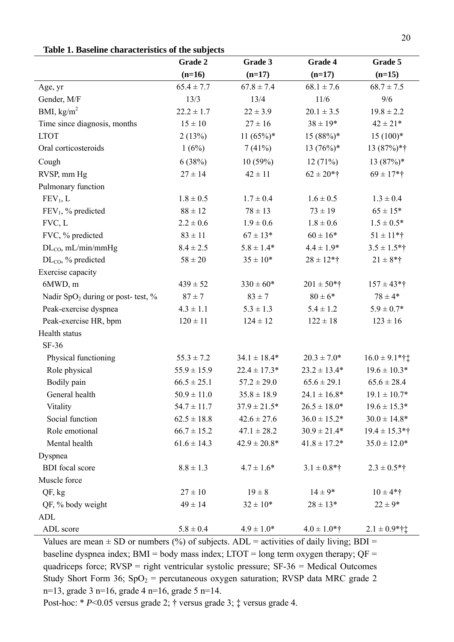|                                                | Grade 2<br>Grade 3 |                  | Grade 4           | Grade 5                      |  |
|------------------------------------------------|--------------------|------------------|-------------------|------------------------------|--|
|                                                | $(n=16)$           | $(n=17)$         | $(n=17)$          | $(n=15)$                     |  |
| Age, yr                                        | $65.4 \pm 7.7$     | $67.8 \pm 7.4$   | $68.1 \pm 7.6$    | $68.7 \pm 7.5$               |  |
| Gender, M/F                                    | 13/3               | 13/4             | 11/6              | 9/6                          |  |
| BMI, $\text{kg/m}^2$                           | $22.2 \pm 1.7$     | $22 \pm 3.9$     | $20.1 \pm 3.5$    | $19.8 \pm 2.2$               |  |
| Time since diagnosis, months                   | $15 \pm 10$        | $27 \pm 16$      | $38 \pm 19*$      | $42 \pm 21*$                 |  |
| <b>LTOT</b>                                    | 2(13%)             | $11 (65\%)*$     | $15(88%)$ *       | $15(100)*$                   |  |
| Oral corticosteroids                           | 1(6%)              | 7(41%)           | $13(76%)$ *       | 13 (87%)*†                   |  |
| Cough                                          | 6(38%)             | 10(59%)          | 12(71%)           | $13(87%)$ *                  |  |
| RVSP, mm Hg                                    | $27 \pm 14$        | $42 \pm 11$      | $62 \pm 20$ *†    | $69 \pm 17$ *†               |  |
| Pulmonary function                             |                    |                  |                   |                              |  |
| FEV <sub>1</sub> , L                           | $1.8 \pm 0.5$      | $1.7 \pm 0.4$    | $1.6 \pm 0.5$     | $1.3 \pm 0.4$                |  |
| FEV <sub>1</sub> , % predicted                 | $88 \pm 12$        | $78 \pm 13$      | $73 \pm 19$       | $65 \pm 15*$                 |  |
| FVC, L                                         | $2.2 \pm 0.6$      | $1.9 \pm 0.6$    | $1.8 \pm 0.6$     | $1.5 \pm 0.5*$               |  |
| FVC, % predicted                               | $83 \pm 11$        | $67 \pm 13*$     | $60 \pm 16*$      | $51 \pm 11$ *†               |  |
| $DL_{CO}$ , mL/min/mmHg                        | $8.4 \pm 2.5$      | $5.8 \pm 1.4*$   | $4.4 \pm 1.9*$    | $3.5 \pm 1.5*$ †             |  |
| $DL_{CO}$ , % predicted                        | $58 \pm 20$        | $35 \pm 10*$     | $28 \pm 12$ *†    | $21 \pm 8$ *†                |  |
| Exercise capacity                              |                    |                  |                   |                              |  |
| 6MWD, m                                        | $439 \pm 52$       | $330 \pm 60*$    | $201 \pm 50$ *†   | $157 \pm 43$ *†              |  |
| Nadir SpO <sub>2</sub> during or post- test, % | $87 \pm 7$         | $83 \pm 7$       | $80 \pm 6*$       | $78 \pm 4*$                  |  |
| Peak-exercise dyspnea                          | $4.3 \pm 1.1$      | $5.3 \pm 1.3$    | $5.4 \pm 1.2$     | $5.9 \pm 0.7*$               |  |
| Peak-exercise HR, bpm                          | $120 \pm 11$       | $124 \pm 12$     | $122 \pm 18$      | $123 \pm 16$                 |  |
| Health status                                  |                    |                  |                   |                              |  |
| SF-36                                          |                    |                  |                   |                              |  |
| Physical functioning                           | $55.3 \pm 7.2$     | $34.1 \pm 18.4*$ | $20.3 \pm 7.0*$   | $16.0 \pm 9.1$ *† $\ddagger$ |  |
| Role physical                                  | $55.9 \pm 15.9$    | $22.4 \pm 17.3*$ | $23.2 \pm 13.4*$  | $19.6 \pm 10.3*$             |  |
| Bodily pain                                    | $66.5 \pm 25.1$    | $57.2 \pm 29.0$  | $65.6 \pm 29.1$   | $65.6 \pm 28.4$              |  |
| General health                                 | $50.9 \pm 11.0$    | $35.8 \pm 18.9$  | $24.1 \pm 16.8^*$ | $19.1 \pm 10.7*$             |  |
| Vitality                                       | $54.7 \pm 11.7$    | $37.9 \pm 21.5*$ | $26.5 \pm 18.0*$  | $19.6 \pm 15.3*$             |  |
| Social function                                | $62.5 \pm 18.8$    | $42.6 \pm 27.6$  | $36.0 \pm 15.2*$  | $30.0 \pm 14.8*$             |  |
| Role emotional                                 | $66.7 \pm 15.2$    | $47.1 \pm 28.2$  | $30.9 \pm 21.4*$  | $19.4 \pm 15.3*$ †           |  |
| Mental health                                  | $61.6 \pm 14.3$    | $42.9 \pm 20.8*$ | $41.8 \pm 17.2*$  | $35.0 \pm 12.0*$             |  |
| Dyspnea                                        |                    |                  |                   |                              |  |
| <b>BDI</b> focal score                         | $8.8 \pm 1.3$      | $4.7 \pm 1.6*$   | $3.1 \pm 0.8$ *†  | $2.3 \pm 0.5*$ †             |  |
| Muscle force                                   |                    |                  |                   |                              |  |
| QF, kg                                         | $27 \pm 10$        | $19 \pm 8$       | $14 \pm 9*$       | $10 \pm 4*$ †                |  |
| QF, % body weight                              | $49 \pm 14$        | $32 \pm 10^*$    | $28 \pm 13*$      | $22 \pm 9*$                  |  |
| ADL                                            |                    |                  |                   |                              |  |
| ADL score                                      | $5.8 \pm 0.4$      | $4.9 \pm 1.0*$   | $4.0 \pm 1.0*$ †  | $2.1 \pm 0.9$ *†‡            |  |

Values are mean  $\pm$  SD or numbers (%) of subjects. ADL = activities of daily living; BDI = baseline dyspnea index;  $BMI = body$  mass index;  $LTOT = long$  term oxygen therapy;  $QF =$ quadriceps force; RVSP = right ventricular systolic pressure; SF-36 = Medical Outcomes Study Short Form 36;  $SpO<sub>2</sub>$  = percutaneous oxygen saturation; RVSP data MRC grade 2 n=13, grade 3 n=16, grade 4 n=16, grade 5 n=14.

Post-hoc: \* *P*<0.05 versus grade 2; † versus grade 3; ‡ versus grade 4.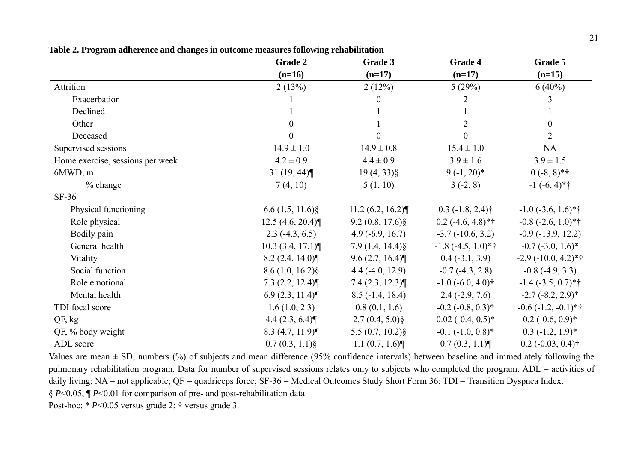|                                  | <b>Grade 2</b>         | Grade 3           | Grade 4                           | Grade 5                         |
|----------------------------------|------------------------|-------------------|-----------------------------------|---------------------------------|
|                                  | $(n=16)$               | $(n=17)$          | $(n=17)$                          | $(n=15)$                        |
| Attrition                        | 2(13%)                 | 2(12%)            | 5(29%)                            | $6(40\%)$                       |
| Exacerbation                     |                        |                   | 2                                 | 3                               |
| Declined                         |                        |                   |                                   |                                 |
| Other                            | 0                      |                   | 2                                 | $\overline{0}$                  |
| Deceased                         |                        |                   | 0                                 | $\overline{2}$                  |
| Supervised sessions              | $14.9 \pm 1.0$         | $14.9 \pm 0.8$    | $15.4 \pm 1.0$                    | NA                              |
| Home exercise, sessions per week | $4.2 \pm 0.9$          | $4.4 \pm 0.9$     | $3.9 \pm 1.6$                     | $3.9 \pm 1.5$                   |
| 6MWD, m                          | 31 $(19, 44)$          | $19(4, 33)\$      | $9(-1, 20)^*$                     | $0(-8, 8)*{\dagger}$            |
| % change                         | 7(4, 10)               | 5(1, 10)          | $3(-2, 8)$                        | $-1$ $(-6, 4)*{\dagger}$        |
| $SF-36$                          |                        |                   |                                   |                                 |
| Physical functioning             | $6.6(1.5, 11.6)\$      | 11.2 (6.2, 16.2)  | $0.3$ (-1.8, 2.4) <sup>†</sup>    | $-1.0$ ( $-3.6$ , $1.6$ )*†     |
| Role physical                    | 12.5(4.6, 20.4)        | $9.2(0.8, 17.6)\$ | $0.2$ (-4.6, 4.8)*†               | $-0.8$ $(-2.6, 1.0)$ *†         |
| Bodily pain                      | $2.3(-4.3, 6.5)$       | $4.9(-6.9, 16.7)$ | $-3.7(-10.6, 3.2)$                | $-0.9$ $(-13.9, 12.2)$          |
| General health                   | $10.3$ $(3.4, 17.1)$   | $7.9(1.4, 14.4)\$ | $-1.8$ $(-4.5, 1.0)*{\dagger}$    | $-0.7$ $(-3.0, 1.6)^*$          |
| Vitality                         | 8.2(2.4, 14.0)         | 9.6(2.7, 16.4)    | $0.4(-3.1, 3.9)$                  | $-2.9(-10.0, 4.2)*{\dagger}$    |
| Social function                  | $8.6(1.0, 16.2)\$      | $4.4(-4.0, 12.9)$ | $-0.7(-4.3, 2.8)$                 | $-0.8$ $(-4.9, 3.3)$            |
| Role emotional                   | $7.3$ (2.2, 12.4) $\P$ | 7.4(2.3, 12.3)    | $-1.0$ ( $-6.0, 4.0$ )†           | $-1.4$ $(-3.5, 0.7)$ *†         |
| Mental health                    | 6.9(2.3, 11.4)         | $8.5(-1.4, 18.4)$ | $2.4(-2.9, 7.6)$                  | $-2.7(-8.2, 2.9)^*$             |
| TDI focal score                  | 1.6(1.0, 2.3)          | 0.8(0.1, 1.6)     | $-0.2$ $(-0.8, 0.3)$ <sup>*</sup> | $-0.6$ $(-1.2, -0.1)$ *†        |
| QF, kg                           | 4.4(2.3, 6.4)          | $2.7(0.4, 5.0)\$  | $0.02$ (-0.4, 0.5) <sup>*</sup>   | $0.2$ (-0.6, 0.9)*              |
| QF, % body weight                | 8.3(4.7, 11.9)         | $5.5(0.7, 10.2)\$ | $-0.1$ $(-1.0, 0.8)$ <sup>*</sup> | $0.3$ (-1.2, 1.9)*              |
| ADL score                        | $0.7(0.3, 1.1)\$       | 1.1(0.7, 1.6)     | 0.7(0.3, 1.1)                     | $0.2$ (-0.03, 0.4) <sup>†</sup> |

**Table 2. Program adherence and changes in outcome measures following rehabilitation**

Values are mean  $\pm$  SD, numbers (%) of subjects and mean difference (95% confidence intervals) between baseline and immediately following the pulmonary rehabilitation program. Data for number of supervised sessions relates only to subjects who completed the program. ADL = activities of daily living; NA = not applicable; QF = quadriceps force; SF-36 = Medical Outcomes Study Short Form 36; TDI = Transition Dyspnea Index. § *P*<0.05, ¶ *P*<0.01 for comparison of pre- and post-rehabilitation data

Post-hoc: \* *P*<0.05 versus grade 2; † versus grade 3.